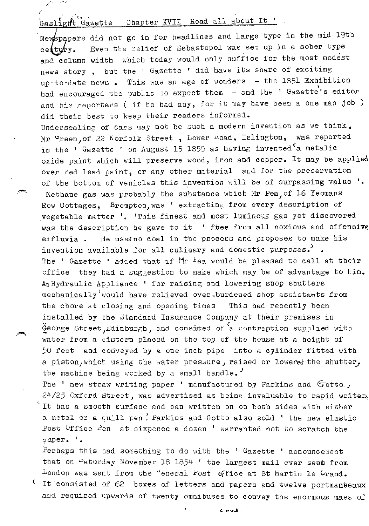# Gaslight Gazette Chapter XVII Read all about It '

/ /.

``

Newspapers did not go in for headlines and large type in the mid 19th Even the relief of Sebastopol was set up in a sober type century. and column width which today would only suffice for the most modest news story, but the ' Gazette ' did have its share of exciting up-to-date news . This was an age of wonders  $-$  the 1851 Exhibition had encouraged the public to expect them - and the ' Gazette's editor and bis reporters ( if he had any, for it may have been a one man job ) di1 their best to keep their readers informed.

Undersealing of cars may not be such a modern invention as we think. Mr <sup>u</sup>reen, of 22 Norfolk Street, Lower Road, Islington, was reported in the ' Gazette ' on August 15 1855 as having invented  $a$  metalic oxide paint which will preserve wood, iron and copper. It may be applied over red lead paint, or any other material and for the preservation of the bottom of vehicles this invention will be of surpassing value ' Methane gas was probably the substance which Mr Pea;of 16 Yeomans Row Cottages, Brompton, was ' extracting from every description of \_vegetable matter '. 'This finest and most luminous gas yet discovered was the description he gave to it ' ftee from all noxious and offensive effluvia. He uses no coal in the process and proposes to make his invention available for all culinary and domestic purposes.  $\cdot$ The ' Gazette ' added that if  $Mr$  fea would be pleased to call at their office they bad a suggestion to make which may be of advantage to him. An Hydraulic Appliance ' for raising and lowering shop shutters mechanically would have relieved over-burdened shop assistants from the chore at closing and opening times This bad recently been installed by the standard Insurance Company at their premises in  $\tilde{G}$ eorge Street, Edinburgh, and consisted of  $a$  contraption supplied with water from a cistern placed on the top of the house at a height of 50 feet and conveyed by a one inch pipe into a cylinder fitted with a piston, which using the water pressure, raised or lowered the shutter, the machine being worked by a small handle.<sup>'</sup>

The ' new straw writing paper ' manufactured by Parkins and Gotto.  $24/25$  Oxford Street, was advertised as being invaluable to rapid writers It has a smooth surface and can written on on both sides with either a metal or a quill pen: Parkins and Gotto also sold ' the new elastic Post  $U$ ffice  $\mathcal{L}$ en at sixpence a dozen ' warranted not to scratch the paper. '.

Perhaps this had something to do with the ' Gazette ' announcement that on Paturday November 18 1854 ' the largest mail ever seat from London was sent from the "eneral Fost office at St Martin le Grand. It consisted of 62<sup>'</sup> boxes of letters and papers and twelve portmanteaux and required upwards of twenty omnibuses to convey the enormous mass of

C:. ov-lt.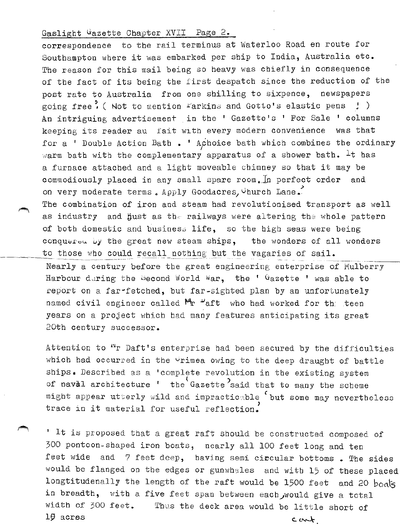#### Gaslight Gazette Chapter XVII Page 2.

correspondence to the rail terminus at Waterloo Road en route for Southampton where it was embarked per ship to India, Australia etc. The reason for this mail being so heavy was chiefly in consequence of the fact of its being the first despatch since the reduction of the post rate to Australia from one shilling to sixpence, newspapers going free. ( Not to mention Farkins and Gotto's elastic pens  $\downarrow$  ) An intriguing advertisement in the ' Gazette's ' For Sale ' columns keeping its reader au fait with every modern convenience was that for a ' Double Action Bath . ' Achoice bath which combines the ordinary warm bath with the complementary apparatus of a shower bath.  $It$  has a furnace attached and a light moveable chimney so that it may be commodiously placed in any small spare room. In perfect order and on very moderate terms. Apply Goodacres, Church Lane. The combination of iron and steam had revolutionised transport as well as industry and hust as the railways were altering the whole pattern of both domestic and businesa life, so the high seas were being conquered by the great new steam ships, the wonders of all wonders to those who could recall nothing but the vagaries of sail. Nearly a century before the great engineering enterprise of Mulberry Harbour daring the becond World war, the '  $G$ azette ' was able to report on a far-fetched, but far-sighted plan by an unfortunately named civil engineer called  $M_{\Gamma}$   $L_{\text{aft}}$  who had worked for the teen years on a project which bad many features anticipating its great

20th century successor.

Attention to "r Daft's enterprise had been secured by the difficulties which had occurred in the  $\vee$ rimea owing to the deep draught of battle ships. Described as a 'complete revolution in the existing system of naval architecture ' the Gazette<sup>2</sup>said that to many the scheme might appear utterly wild and impractic~ble ( but some may nevertheless trace in it material for useful reflection.

' It is proposed that a great raft should be constructed composed of 300 pontoon-shaped iron boats, nearly all 100 feet long and ten feet wide and 7 feet deep, having semi circular bottoms. The sides would be flanged on the edges or gunwhales and with 15 of these placed longtitudenally the length of the raft would be 1500 feet and 20 boats in breadth, with a five feet span between each would give a total width of 300 feet. Thus the deck area would be little short of  $19 \text{ across}$  c...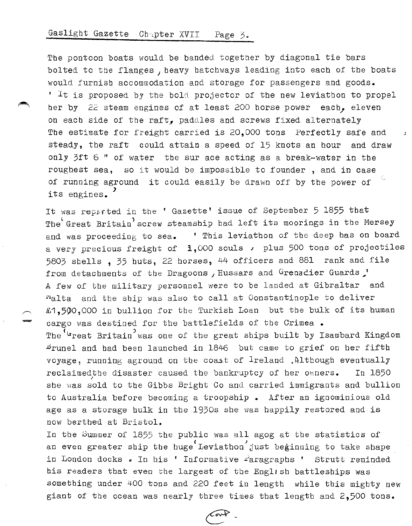### Gaslight Gazette Chapter XVII Page 3.

The pontoon boats would be banded together by diagonal tie bars bolted to the flanges, heavy hatchways leading into each of the boats would furnish accommodation and storage for passengers and goods.  $'$  It is proposed by the bold projector of the new leviathon to propel her by  $2\tilde{z}$  steam engines of at least 200 horse power each, eleven on each side of the raft, paddles and screws fixed alternately The estimate for freight carried is 20,000 tons Perfectly safe and steady, the raft could attain a speed of 15 knots an hour and draw only  $3$ ft 6 " of water the sur ace acting as a break-water in the roughest sea, so it would be impossible to founder , and in case of running aground it could easily be drawn off by the power of its engines.<sup>'</sup>

It was reported in the ' Gazette' issue of September 5 1855 that The Great Britain screw steamship had left its moorings in the Mersey and was proceeding to sea. ' This leviathon of the deep has on board a very precious freight of  $1,000$  souls , plus 500 tons of projectiles 5803 shells , 35 buts, 22 horses, 44 officers and 881 rank and file from detachments of the Dragoons , Hussars and Grenacier Guards  $\mathcal{I}$ A few of the military personnel were to be landed at Gibraltar and Nalta and the ship was also to call at Constantinople to deliver £1,500,000 in bullion for the Turkish Loan but the bulk of its human cargo was destined for the battlefields of the Crimea. The <sup>'G</sup>reat Britain<sup>'</sup> was one of the great ships built by Isambard Kingdom Brunel and bad been launched in 1846 but came to grief on her fifth voyage, running aground on the coast of Ireland , Although eventually reclaimedthe disaster caused the bankruptcy of her owners. In 1850 she was sold to the Gibbs Bright Co and carried immigrants and bullion to Australia before becoming a troopship • After an ignominious old age as a storage bulk in the 1930s she was happily restored and is now berthed at Bristol.

In the Summer of 1855 the public was all agog at the statistics of an even greater ship the huge Leviathon just beginning to take shape in London docks . In his ' Informative *Faragraphs* ' Strutt reminded his readers that even the largest of the English battleships was something under 400 tons and 220 feet in length while this mighty new giant of the ocean was nearly three times that length and 2,500 tons.

تمحمته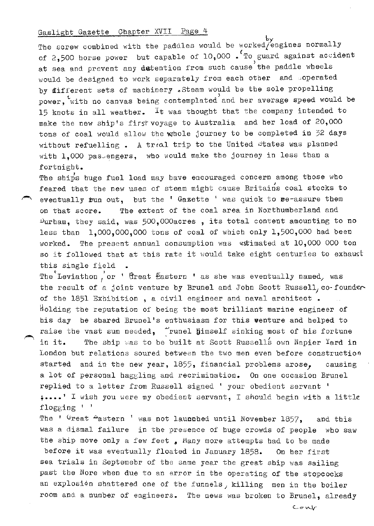#### Gaslight Gazette Chapter XVII Page 4

by<br>The screw combined with the paddles would be worked/engines normally of 2,500 horse power but capable of  $10,000$ . To guard against accident at sea and prevent any dutention from such cause the paddle wheels would be designed to work separately from each other and operated by ifferent sets of machinery . Steam would be the sole propelling power, with no canvas being contemplated and her average speed would be 15 knots in all weather. It was thought that the company intended to make the new ship's firstvoyage to Australia and her load of 20,000 tons of coal would allow the whole journey to be completed in 32 days without refuelling. A traal trip to the United states was planned with  $1,000$  pas engers, who would make the journey in less than a fortnight.

The ships huge fuel load may have encouraged concern among those who feared that the new uses of steam might cause Britains coal stocks to eventually tun out, but the ' Gazette ' was quick to re-assure them on that score. The extent of the coal area in Northumberland and  $D$ urham, they said, was 500,000acres, its total content amounting to no less than  $1,000,000,000$  tons of coal of which only  $1,500,000$  had been worked. The present annual consumption was extimated at 10,000 000 ton so it followed that at this rate it would take eight centuries to exhaust this single field

The Leviathon, or ' Great Eastern ' as she was eventually named, was the result of a joint venture by Brunel and John Scott Russell, co-founder of the 1851 Exhibition, a civil engineer and naval architect. Holding the reputation of being the most brilliant marine engineer of his day he shared Brunel's enthusiasm for this venture and helped to raise the vast sum needed,  $\frac{1}{2}$  runel himself sinking most of his fortune in it. The ship was to be built at Scott Russells own Napier Yard in London but relations soured between the two men even before construction started and in the new year,  $1855$ , financial problems arose, causing a lot of personal haggling and recrimination. On one occasion Brunel replied to a letter from Russell signed ' your obedient servant ' ; •••• • I wish you were my obedient servant, I should begin with a little flogging ' '

The '  $G$ reat  $4$ astern ' was not launnhed until November 1857, and this was a dismal failure in the presence of huge crowds of people who saw the ship move only a few feet, Many more attempts had to be made

before it was eventually floated in January 1858. On her first sea trials in Septemebr of the same year the great ship was sailing past the Nore when due to an error in the operating of the stopcocks an explosien shattered one of the funnels, killing men in the boiler room and a number of engineers. The news was broken to Brunel, already